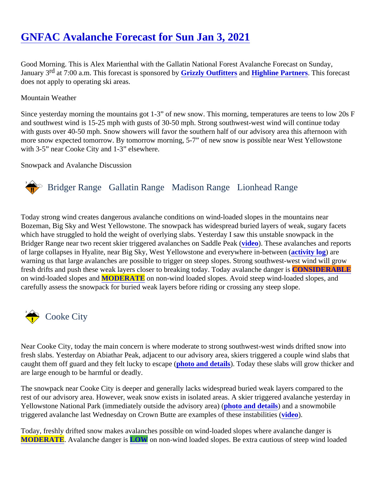Good Morning. This is Alex Marienthal with the Gallatin National Forest Avalanche Forecast on Sunday, January  $\overline{9}$  at 7:00 a.m. This forecast is sponsore **C**bizzly Outfitters and [Highline Partners.](http://highline-partners.com/) This forecast does not apply to operating ski areas.

## Mountain Weather

Since yesterday morning the mountains got 1-3" of new snow. This morning, temperatures are teens to low 2 and southwest wind is 15-25 mph with gusts of 30-50 mph. Strong southwest-west wind will continue today with gusts over 40-50 mph. Snow showers will favor the southern half of our advisory area this afternoon with more snow expected tomorrow. By tomorrow morning, 5-7" of new snow is possible near West Yellowstone with 3-5" near Cooke City and 1-3" elsewhere.

## Snowpack and Avalanche Discussion

## Bridger Range Gallatin Range Madison RangeLionhead Range

Today strong wind creates dangerous avalanche conditions on wind-loaded slopes in the mountains near Bozeman, Big Sky and West Yellowstone. The snowpack has widespread buried layers of weak, sugary face which have struggled to hold the weight of overlying slabs. Yesterday I saw this unstable snowpack in the Bridger Range near two recent skier triggered avalanches on Saddl[e Pea](https://www.youtube.com/watch?v=1ihnOqeMkLc&list=PLXu5151nmAvQDzKmH5K3ZS8Gg3DzwsZ3O)k These avalanches and reports of large collapses in Hyalite, near Big Sky, West Yellowstone and everywhere in-between (log) are warning us that large avalanches are possible to trigger on steep slopes. Strong southwest-west wind will gro fresh drifts and push these weak layers closer to breaking today. Today avalanche CONSIDERABLE on wind-loaded slopes an MODERATE on non-wind loaded slopes. Avoid steep wind-loaded slopes, and carefully assess the snowpack for buried weak layers before riding or crossing any steep slope.

## Cooke City

Near Cooke City, today the main concern is where moderate to strong southwest-west winds drifted snow into fresh slabs. Yesterday on Abiathar Peak, adjacent to our advisory area, skiers triggered a couple wind slabs t caught them off guard and they felt lucky to escapet (o and details). Today these slabs will grow thicker and are large enough to be harmful or deadly.

The snowpack near Cooke City is deeper and generally lacks widespread buried weak layers compared to th rest of our advisory area. However, weak snow exists in isolated areas. A skier triggered avalanche yesterday Yellowstone National Park (immediately outside the advisory apea) (on and details) and a snowmobile triggered avalanche last Wednesday on Crown Butte are examples of these inst[abilitie](https://youtu.be/UEY5A4YXibg)s (

Today, freshly drifted snow makes avalanches possible on wind-loaded slopes where avalanche danger is [MODERATE](https://www.mtavalanche.com/images/DangerScale-small.jpg). Avalanche danger LOW on non-wind loaded slopes. Be extra cautious of steep wind loaded